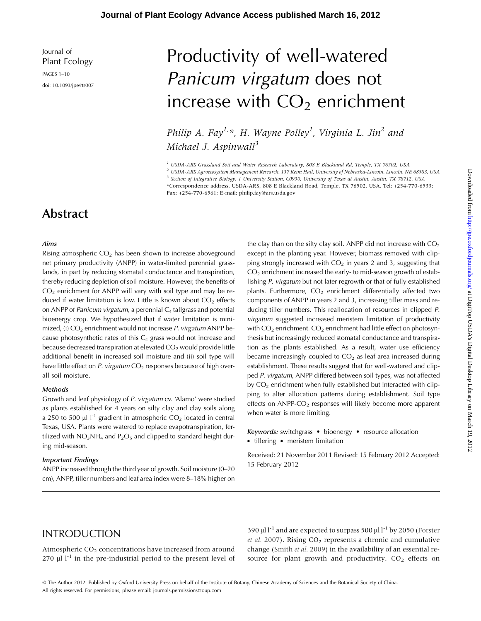Journal of Plant Ecology

PAGES 1–10 doi: 10.1093/jpe/rts007

# Productivity of well-watered Panicum virgatum does not increase with  $CO<sub>2</sub>$  enrichment

Philip A. Fay<sup>1,\*</sup>, H. Wayne Polley<sup>1</sup>, Virginia L. Jin<sup>2</sup> and Michael J. Aspinwall $^3$ 

 $<sup>1</sup>$  USDA-ARS Grassland Soil and Water Research Laboratory, 808 E Blackland Rd, Temple, TX 76502, USA</sup>

<sup>2</sup> USDA-ARS Agroecosystem Management Research, 137 Keim Hall, University of Nebraska-Lincoln, Lincoln, NE 68583, USA <sup>3</sup> Section of Integrative Biology, 1 University Station, C0930, University of Texas at Austin, Austin, TX 78712, USA \*Correspondence address. USDA-ARS, 808 E Blackland Road, Temple, TX 76502, USA. Tel: +254-770-6533; Fax: +254-770-6561; E-mail: philip.fay@ars.usda.gov

# Abstract

#### Aims

Rising atmospheric  $CO<sub>2</sub>$  has been shown to increase aboveground net primary productivity (ANPP) in water-limited perennial grasslands, in part by reducing stomatal conductance and transpiration, thereby reducing depletion of soil moisture. However, the benefits of  $CO<sub>2</sub>$  enrichment for ANPP will vary with soil type and may be reduced if water limitation is low. Little is known about  $CO<sub>2</sub>$  effects on ANPP of *Panicum virgatum*, a perennial  $C_4$  tallgrass and potential bioenergy crop. We hypothesized that if water limitation is minimized, (i)  $CO<sub>2</sub>$  enrichment would not increase P. virgatum ANPP because photosynthetic rates of this  $C_4$  grass would not increase and because decreased transpiration at elevated  $CO<sub>2</sub>$  would provide little additional benefit in increased soil moisture and (ii) soil type will have little effect on P. virgatum  $CO<sub>2</sub>$  responses because of high overall soil moisture.

#### Methods

Growth and leaf physiology of P. virgatum cv. 'Alamo' were studied as plants established for 4 years on silty clay and clay soils along a 250 to 500  $\mu$ l l<sup>-1</sup> gradient in atmospheric CO<sub>2</sub> located in central Texas, USA. Plants were watered to replace evapotranspiration, fertilized with  $NO<sub>3</sub>NH<sub>4</sub>$  and  $P<sub>2</sub>O<sub>5</sub>$  and clipped to standard height during mid-season.

#### Important Findings

ANPP increased through the third year of growth. Soil moisture (0–20 cm), ANPP, tiller numbers and leaf area index were 8–18% higher on the clay than on the silty clay soil. ANPP did not increase with  $CO<sub>2</sub>$ except in the planting year. However, biomass removed with clipping strongly increased with  $CO<sub>2</sub>$  in years 2 and 3, suggesting that  $CO<sub>2</sub>$  enrichment increased the early- to mid-season growth of establishing P. virgatum but not later regrowth or that of fully established plants. Furthermore,  $CO<sub>2</sub>$  enrichment differentially affected two components of ANPP in years 2 and 3, increasing tiller mass and reducing tiller numbers. This reallocation of resources in clipped P. virgatum suggested increased meristem limitation of productivity with  $CO<sub>2</sub>$  enrichment.  $CO<sub>2</sub>$  enrichment had little effect on photosynthesis but increasingly reduced stomatal conductance and transpiration as the plants established. As a result, water use efficiency became increasingly coupled to  $CO<sub>2</sub>$  as leaf area increased during establishment. These results suggest that for well-watered and clipped P. virgatum, ANPP differed between soil types, was not affected by  $CO<sub>2</sub>$  enrichment when fully established but interacted with clipping to alter allocation patterns during establishment. Soil type effects on  $ANPP-CO<sub>2</sub>$  responses will likely become more apparent when water is more limiting.

Keywords: switchgrass · bioenergy · resource allocation • tillering • meristem limitation

Received: 21 November 2011 Revised: 15 February 2012 Accepted: 15 February 2012

# INTRODUCTION

Atmospheric  $CO<sub>2</sub>$  concentrations have increased from around 270  $\mu$ l l<sup>-1</sup> in the pre-industrial period to the present level of 390  $\mu$ l l<sup>-1</sup> and are expected to surpass 500  $\mu$ l l<sup>-1</sup> by 2050 [\(Forster](#page-8-0) et al. [2007](#page-8-0)). Rising  $CO<sub>2</sub>$  represents a chronic and cumulative change ([Smith](#page-9-0) et al. 2009) in the availability of an essential resource for plant growth and productivity.  $CO<sub>2</sub>$  effects on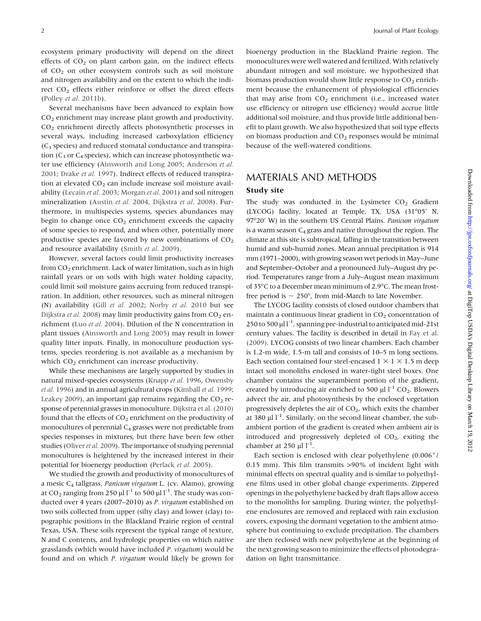ecosystem primary productivity will depend on the direct effects of  $CO<sub>2</sub>$  on plant carbon gain, on the indirect effects of CO2 on other ecosystem controls such as soil moisture and nitrogen availability and on the extent to which the indirect CO<sub>2</sub> effects either reinforce or offset the direct effects (Polley et al. [2011b\)](#page-9-0).

Several mechanisms have been advanced to explain how CO2 enrichment may increase plant growth and productivity. CO2 enrichment directly affects photosynthetic processes in several ways, including increased carboxylation efficiency  $(C_3$  species) and reduced stomatal conductance and transpiration ( $C_3$  or  $C_4$  species), which can increase photosynthetic water use efficiency ([Ainsworth and Long 2005](#page-8-0); [Anderson](#page-8-0) et al. [2001](#page-8-0); [Drake](#page-8-0) et al. 1997). Indirect effects of reduced transpiration at elevated  $CO<sub>2</sub>$  can include increase soil moisture avail-ability ([Lecain](#page-8-0) et al. 2003; [Morgan](#page-8-0) et al. 2001) and soil nitrogen mineralization [\(Austin](#page-8-0) et al. 2004, [Dijkstra](#page-8-0) et al. 2008). Furthermore, in multispecies systems, species abundances may begin to change once  $CO<sub>2</sub>$  enrichment exceeds the capacity of some species to respond, and when other, potentially more productive species are favored by new combinations of  $CO<sub>2</sub>$ and resource availability [\(Smith](#page-9-0) et al. 2009).

However, several factors could limit productivity increases from CO<sub>2</sub> enrichment. Lack of water limitation, such as in high rainfall years or on soils with high water holding capacity, could limit soil moisture gains accruing from reduced transpiration. In addition, other resources, such as mineral nitrogen (N) availability (Gill et al. [2002;](#page-8-0) [Norby](#page-8-0) et al. 2010 but see [Dijkstra](#page-8-0) et al. 2008) may limit productivity gains from  $CO<sub>2</sub>$  enrichment (Luo et al. [2004\)](#page-8-0). Dilution of the N concentration in plant tissues ([Ainsworth and Long 2005\)](#page-8-0) may result in lower quality litter inputs. Finally, in monoculture production systems, species reordering is not available as a mechanism by which  $CO<sub>2</sub>$  enrichment can increase productivity.

While these mechanisms are largely supported by studies in natural mixed-species ecosystems ([Knapp](#page-8-0) et al. 1996, [Owensby](#page-8-0) et al. [1996\)](#page-8-0) and in annual agricultural crops [\(Kimball](#page-8-0) et al. 1999; [Leakey 2009\)](#page-8-0), an important gap remains regarding the  $CO<sub>2</sub>$  response of perennial grasses in monoculture. [Dijkstra et al. \(2010\)](#page-8-0) found that the effects of  $CO<sub>2</sub>$  enrichment on the productivity of monocultures of perennial C<sub>4</sub> grasses were not predictable from species responses in mixtures, but there have been few other studies [\(Oliver](#page-8-0) et al. 2009). The importance of studying perennial monocultures is heightened by the increased interest in their potential for bioenergy production [\(Perlack](#page-8-0) et al. 2005).

We studied the growth and productivity of monocultures of a mesic  $C_4$  tallgrass, Panicum virgatum L. (cv. Alamo), growing at  $CO_2$  ranging from 250 µl l<sup>-1</sup> to 500 µl l<sup>-1</sup>. The study was conducted over 4 years (2007–2010) as P. virgatum established on two soils collected from upper (silty clay) and lower (clay) topographic positions in the Blackland Prairie region of central Texas, USA. These soils represent the typical range of texture, N and C contents, and hydrologic properties on which native grasslands (which would have included P. virgatum) would be found and on which P. virgatum would likely be grown for bioenergy production in the Blackland Prairie region. The monocultures were well watered and fertilized. With relatively abundant nitrogen and soil moisture, we hypothesized that biomass production would show little response to  $CO<sub>2</sub>$  enrichment because the enhancement of physiological efficiencies that may arise from  $CO<sub>2</sub>$  enrichment (i.e., increased water use efficiency or nitrogen use efficiency) would accrue little additional soil moisture, and thus provide little additional benefit to plant growth. We also hypothesized that soil type effects on biomass production and  $CO<sub>2</sub>$  responses would be minimal because of the well-watered conditions.

## MATERIALS AND METHODS

#### Study site

The study was conducted in the Lysimeter  $CO<sub>2</sub>$  Gradient (LYCOG) facility, located at Temple, TX, USA (31°05' N, 97°20' W) in the southern US Central Plains. Panicum virgatum is a warm season  $C_4$  grass and native throughout the region. The climate at this site is subtropical, falling in the transition between humid and sub-humid zones. Mean annual precipitation is 914 mm (1971–2000), with growing season wet periods in May–June and September–October and a pronounced July–August dry period. Temperatures range from a July–August mean maximum of 35°C to a December mean minimum of 2.9°C. The mean frostfree period is  $\sim 250^{\circ}$ , from mid-March to late November.

The LYCOG facility consists of closed outdoor chambers that maintain a continuous linear gradient in  $CO<sub>2</sub>$  concentration of 250 to 500  $\mu$ l l<sup>-1</sup>, spanning pre-industrial to anticipated mid-21st century values. The facility is described in detail in [Fay et al.](#page-8-0) [\(2009\).](#page-8-0) LYCOG consists of two linear chambers. Each chamber is 1.2-m wide, 1.5-m tall and consists of 10–5 m long sections. Each section contained four steel-encased  $1 \times 1 \times 1.5$  m deep intact soil monoliths enclosed in water-tight steel boxes. One chamber contains the superambient portion of the gradient, created by introducing air enriched to 500  $\mu$ l l<sup>-1</sup> CO<sub>2</sub>. Blowers advect the air, and photosynthesis by the enclosed vegetation progressively depletes the air of  $CO<sub>2</sub>$ , which exits the chamber at 380  $\mu$ l l<sup>-1</sup>. Similarly, on the second linear chamber, the subambient portion of the gradient is created when ambient air is introduced and progressively depleted of  $CO<sub>2</sub>$ , exiting the chamber at 250  $\mu$ l l<sup>-1</sup>.

Each section is enclosed with clear polyethylene (0.006<sup>*n*</sup>/ 0.15 mm). This film transmits >90% of incident light with minimal effects on spectral quality and is similar to polyethylene films used in other global change experiments. Zippered openings in the polyethylene backed by draft flaps allow access to the monoliths for sampling. During winter, the polyethylene enclosures are removed and replaced with rain exclusion covers, exposing the dormant vegetation to the ambient atmosphere but continuing to exclude precipitation. The chambers are then reclosed with new polyethylene at the beginning of the next growing season to minimize the effects of photodegradation on light transmittance.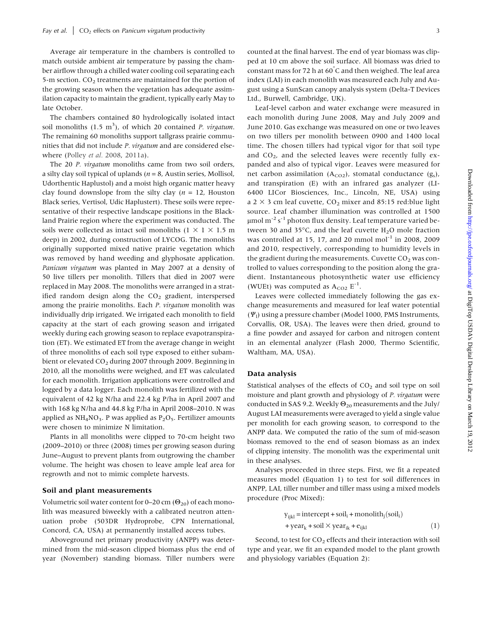Average air temperature in the chambers is controlled to match outside ambient air temperature by passing the chamber airflow through a chilled water cooling coil separating each 5-m section. CO<sub>2</sub> treatments are maintained for the portion of the growing season when the vegetation has adequate assimilation capacity to maintain the gradient, typically early May to late October.

The chambers contained 80 hydrologically isolated intact soil monoliths  $(1.5 \text{ m}^3)$ , of which 20 contained *P. virgatum*. The remaining 60 monoliths support tallgrass prairie communities that did not include P. virgatum and are considered elsewhere [\(Polley](#page-9-0) et al. 2008, [2011a\)](#page-9-0).

The 20 P. virgatum monoliths came from two soil orders, a silty clay soil typical of uplands ( $n = 8$ , Austin series, Mollisol, Udorthentic Haplustol) and a moist high organic matter heavy clay found downslope from the silty clay ( $n = 12$ , Houston Black series, Vertisol, Udic Haplustert). These soils were representative of their respective landscape positions in the Blackland Prairie region where the experiment was conducted. The soils were collected as intact soil monoliths (1  $\times$  1  $\times$  1.5 m deep) in 2002, during construction of LYCOG. The monoliths originally supported mixed native prairie vegetation which was removed by hand weeding and glyphosate application. Panicum virgatum was planted in May 2007 at a density of 50 live tillers per monolith. Tillers that died in 2007 were replaced in May 2008. The monoliths were arranged in a stratified random design along the  $CO<sub>2</sub>$  gradient, interspersed among the prairie monoliths. Each P. virgatum monolith was individually drip irrigated. We irrigated each monolith to field capacity at the start of each growing season and irrigated weekly during each growing season to replace evapotranspiration (ET). We estimated ET from the average change in weight of three monoliths of each soil type exposed to either subambient or elevated  $CO<sub>2</sub>$  during 2007 through 2009. Beginning in 2010, all the monoliths were weighed, and ET was calculated for each monolith. Irrigation applications were controlled and logged by a data logger. Each monolith was fertilized with the equivalent of 42 kg N/ha and 22.4 kg P/ha in April 2007 and with 168 kg N/ha and 44.8 kg P/ha in April 2008–2010. N was applied as  $NH<sub>4</sub>NO<sub>3</sub>$ . P was applied as  $P<sub>2</sub>O<sub>5</sub>$ . Fertilizer amounts were chosen to minimize N limitation.

Plants in all monoliths were clipped to 70-cm height two (2009–2010) or three (2008) times per growing season during June–August to prevent plants from outgrowing the chamber volume. The height was chosen to leave ample leaf area for regrowth and not to mimic complete harvests.

#### Soil and plant measurements

Volumetric soil water content for 0–20 cm ( $\Theta_{20}$ ) of each monolith was measured biweekly with a calibrated neutron attenuation probe (503DR Hydroprobe, CPN International, Concord, CA, USA) at permanently installed access tubes.

Aboveground net primary productivity (ANPP) was determined from the mid-season clipped biomass plus the end of year (November) standing biomass. Tiller numbers were counted at the final harvest. The end of year biomass was clipped at 10 cm above the soil surface. All biomass was dried to constant mass for 72 h at 60 $\degree$ C and then weighed. The leaf area index (LAI) in each monolith was measured each July and August using a SunScan canopy analysis system (Delta-T Devices Ltd., Burwell, Cambridge, UK).

Leaf-level carbon and water exchange were measured in each monolith during June 2008, May and July 2009 and June 2010. Gas exchange was measured on one or two leaves on two tillers per monolith between 0900 and 1400 local time. The chosen tillers had typical vigor for that soil type and  $CO<sub>2</sub>$ , and the selected leaves were recently fully expanded and also of typical vigor. Leaves were measured for net carbon assimilation  $(A_{CO2})$ , stomatal conductance  $(g_s)$ , and transpiration (E) with an infrared gas analyzer (LI-6400 LICor Biosciences, Inc., Lincoln, NE, USA) using a 2  $\times$  3 cm leaf cuvette, CO<sub>2</sub> mixer and 85:15 red:blue light source. Leaf chamber illumination was controlled at 1500  $\mu$ mol m $^{-2}$  s<sup>-1</sup> photon flux density. Leaf temperature varied between 30 and 35 $^{\circ}$ C, and the leaf cuvette H<sub>2</sub>O mole fraction was controlled at 15, 17, and 20 mmol mol<sup>-1</sup> in 2008, 2009 and 2010, respectively, corresponding to humidity levels in the gradient during the measurements. Cuvette  $CO<sub>2</sub>$  was controlled to values corresponding to the position along the gradient. Instantaneous photosynthetic water use efficiency (WUEt) was computed as  $A_{CO2}$   $E^{-1}$ .

Leaves were collected immediately following the gas exchange measurements and measured for leaf water potential  $(\Psi_1)$  using a pressure chamber (Model 1000, PMS Instruments, Corvallis, OR, USA). The leaves were then dried, ground to a fine powder and assayed for carbon and nitrogen content in an elemental analyzer (Flash 2000, Thermo Scientific, Waltham, MA, USA).

#### Data analysis

Statistical analyses of the effects of  $CO<sub>2</sub>$  and soil type on soil moisture and plant growth and physiology of P. virgatum were conducted in SAS 9.2. Weekly  $\Theta_{20}$  measurements and the July/ August LAI measurements were averaged to yield a single value per monolith for each growing season, to correspond to the ANPP data. We computed the ratio of the sum of mid-season biomass removed to the end of season biomass as an index of clipping intensity. The monolith was the experimental unit in these analyses.

Analyses proceeded in three steps. First, we fit a repeated measures model (Equation 1) to test for soil differences in ANPP, LAI, tiller number and tiller mass using a mixed models procedure (Proc Mixed):

$$
y_{ijkl} = intercept + soil_i + monolith_j(soil_i)
$$
  
+ year<sub>k</sub> + soil × year<sub>ik</sub> + e<sub>ijkl</sub> (1)

Second, to test for  $CO<sub>2</sub>$  effects and their interaction with soil type and year, we fit an expanded model to the plant growth and physiology variables (Equation 2):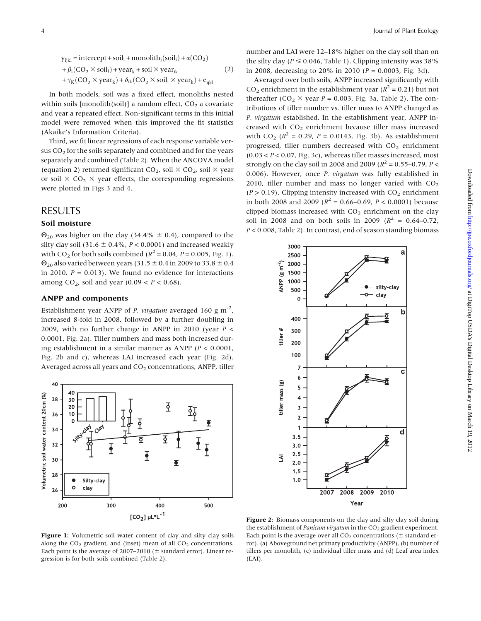<span id="page-3-0"></span> $y_{ijkl} = intercept + soil_i + monolith_j(soil_i) + \alpha(CO_2)$  $+ \beta_i$ (CO<sub>2</sub>  $\times$  soil<sub>i</sub>) + year<sub>k</sub> + soil  $\times$  year<sub>ik</sub> +  $\gamma_K$ (CO<sub>2</sub>  $\times$  year<sub>k</sub>) +  $\delta_{ik}$ (CO<sub>2</sub>  $\times$  soil<sub>i</sub>  $\times$  year<sub>k</sub>) + e<sub>ikl</sub>  $(2)$ 

In both models, soil was a fixed effect, monoliths nested within soils [monolith(soil)] a random effect,  $CO<sub>2</sub>$  a covariate and year a repeated effect. Non-significant terms in this initial model were removed when this improved the fit statistics (Akaike's Information Criteria).

Third, we fit linear regressions of each response variable versus  $CO<sub>2</sub>$  for the soils separately and combined and for the years separately and combined ([Table 2\)](#page-5-0). When the ANCOVA model (equation 2) returned significant  $CO_2$ , soil  $\times$   $CO_2$ , soil  $\times$  year or soil  $\times$  CO<sub>2</sub>  $\times$  year effects, the corresponding regressions were plotted in [Figs 3](#page-4-0) and [4](#page-7-0).

## RESULTS

#### Soil moisture

 $\Theta_{20}$  was higher on the clay (34.4%  $\pm$  0.4), compared to the silty clay soil (31.6  $\pm$  0.4%, P < 0.0001) and increased weakly with CO<sub>2</sub> for both soils combined ( $R^2 = 0.04$ ,  $P = 0.005$ , Fig. 1).  $\Theta_{20}$  also varied between years (31.5  $\pm$  0.4 in 2009 to 33.8  $\pm$  0.4 in 2010,  $P = 0.013$ ). We found no evidence for interactions among  $CO<sub>2</sub>$ , soil and year (0.09 <  $P < 0.68$ ).

#### ANPP and components

Establishment year ANPP of P. virgatum averaged 160 g m<sup>-2</sup>, increased 8-fold in 2008, followed by a further doubling in 2009, with no further change in ANPP in 2010 (year  $P \leq$ 0.0001, Fig. 2a). Tiller numbers and mass both increased during establishment in a similar manner as ANPP ( $P < 0.0001$ , Fig. 2b and c), whereas LAI increased each year (Fig. 2d). Averaged across all years and  $CO<sub>2</sub>$  concentrations, ANPP, tiller



number and LAI were 12–18% higher on the clay soil than on the silty clay ( $P \le 0.046$ , [Table 1](#page-4-0)). Clipping intensity was 38% in 2008, decreasing to 20% in 2010 ( $P = 0.0003$ , [Fig. 3d](#page-4-0)).

Averaged over both soils, ANPP increased significantly with CO<sub>2</sub> enrichment in the establishment year ( $R^2$  = 0.21) but not thereafter (CO<sub>2</sub>  $\times$  year *P* = 0.003, [Fig. 3a](#page-4-0), [Table 2\)](#page-5-0). The contributions of tiller number vs. tiller mass to ANPP changed as P. virgatum established. In the establishment year, ANPP increased with  $CO<sub>2</sub>$  enrichment because tiller mass increased with CO<sub>2</sub> ( $R^2 = 0.29$ ,  $P = 0.0143$ , [Fig. 3b\)](#page-4-0). As establishment progressed, tiller numbers decreased with  $CO<sub>2</sub>$  enrichment  $(0.03 < P < 0.07$ , [Fig. 3c\)](#page-4-0), whereas tiller masses increased, most strongly on the clay soil in 2008 and 2009 ( $R^2 = 0.55 - 0.79$ ,  $P <$ 0.006). However, once P. virgatum was fully established in 2010, tiller number and mass no longer varied with  $CO<sub>2</sub>$  $(P > 0.19)$ . Clipping intensity increased with  $CO<sub>2</sub>$  enrichment in both 2008 and 2009 ( $R^2 = 0.66 - 0.69$ ,  $P < 0.0001$ ) because clipped biomass increased with  $CO<sub>2</sub>$  enrichment on the clay soil in 2008 and on both soils in 2009 ( $R^2 = 0.64 - 0.72$ ) P < 0.008, [Table 2](#page-5-0)). In contrast, end of season standing biomass



Figure 1: Volumetric soil water content of clay and silty clay soils along the  $CO<sub>2</sub>$  gradient, and (inset) mean of all  $CO<sub>2</sub>$  concentrations. Each point is the average of 2007–2010 ( $\pm$  standard error). Linear regression is for both soils combined [\(Table 2](#page-5-0)).

Figure 2: Biomass components on the clay and silty clay soil during the establishment of *Panicum virgatum* in the  $CO<sub>2</sub>$  gradient experiment. Each point is the average over all  $CO<sub>2</sub>$  concentrations ( $\pm$  standard error). (a) Aboveground net primary productivity (ANPP), (b) number of tillers per monolith, (c) individual tiller mass and (d) Leaf area index (LAI).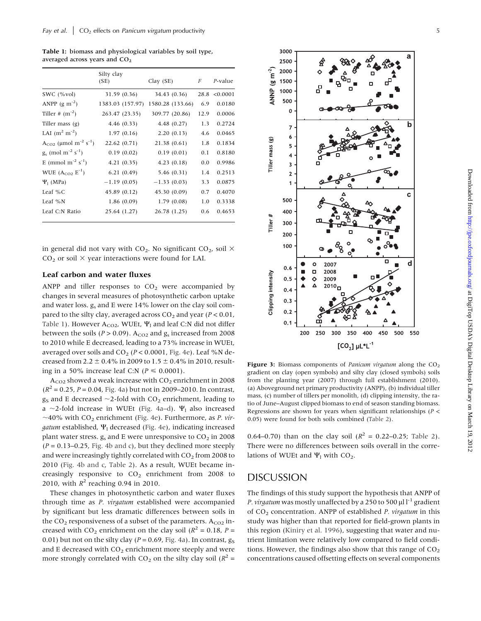<span id="page-4-0"></span>Table 1: biomass and physiological variables by soil type, averaged across years and  $CO<sub>2</sub>$ 

|                                                   | Silty clay<br>(SE) | Clay(SE)         | $\boldsymbol{F}$ | P-value  |  |
|---------------------------------------------------|--------------------|------------------|------------------|----------|--|
| SWC $(\% \text{vol})$                             | 31.59 (0.36)       | 34.43 (0.36)     | 28.8             | < 0.0001 |  |
| ANPP $(g m^{-2})$                                 | 1383.03 (157.97)   | 1580.28 (133.66) | 6.9              | 0.0180   |  |
| Tiller # $(m^{-2})$                               | 263.47 (23.35)     | 309.77 (20.86)   | 12.9             | 0.0006   |  |
| Tiller mass $(g)$                                 | 4.46(0.33)         | 4.48(0.27)       | 1.3              | 0.2724   |  |
| LAI $(m^2 m^{-2})$                                | 1.97(0.16)         | 2.20(0.13)       | 4.6              | 0.0465   |  |
| $A_{CO2}$ (µmol m <sup>-2</sup> s <sup>-1</sup> ) | 22.62 (0.71)       | 21.38(0.61)      | 1.8              | 0.1834   |  |
| $g_s \pmod{m^{-2} s^{-1}}$                        | 0.19(0.02)         | 0.19(0.01)       | 0.1              | 0.8180   |  |
| E (mmol m <sup>-2</sup> s <sup>-1</sup> )         | 4.21(0.35)         | 4.23(0.18)       | 0.0              | 0.9986   |  |
| WUE $(A_{CO2} E^{-1})$                            | 6.21(0.49)         | 5.46 (0.31)      | 1.4              | 0.2513   |  |
| $\Psi_1$ (MPa)                                    | $-1.19(0.05)$      | $-1.33(0.03)$    | 3.3              | 0.0875   |  |
| Leaf $%C$                                         | 45.89 (0.12)       | 45.30 (0.09)     | 0.7              | 0.4070   |  |
| Leaf %N                                           | 1.86(0.09)         | 1.79(0.08)       | 1.0              | 0.3338   |  |
| Leaf C:N Ratio                                    | 25.64 (1.27)       | 26.78 (1.25)     | 0.6              | 0.4653   |  |

in general did not vary with  $CO<sub>2</sub>$ . No significant  $CO<sub>2</sub>$ , soil  $\times$  $CO<sub>2</sub>$  or soil  $\times$  year interactions were found for LAI.

#### Leaf carbon and water fluxes

ANPP and tiller responses to  $CO<sub>2</sub>$  were accompanied by changes in several measures of photosynthetic carbon uptake and water loss.  $g_s$  and E were 14% lower on the clay soil compared to the silty clay, averaged across  $CO<sub>2</sub>$  and year ( $P < 0.01$ , Table 1). However  $A_{CO2}$ , WUEt,  $\Psi_1$  and leaf C:N did not differ between the soils ( $P > 0.09$ ). A<sub>CO2</sub> and  $g_s$  increased from 2008 to 2010 while E decreased, leading to a 73% increase in WUEt, averaged over soils and  $CO<sub>2</sub>$  ( $P < 0.0001$ , [Fig. 4e\)](#page-7-0). Leaf %N decreased from 2.2  $\pm$  0.4% in 2009 to 1.5  $\pm$  0.4% in 2010, resulting in a 50% increase leaf C:N ( $P \le 0.0001$ ).

 $A_{CO2}$  showed a weak increase with  $CO<sub>2</sub>$  enrichment in 2008  $(R^2 = 0.25, P = 0.04, Fig. 4a)$  $(R^2 = 0.25, P = 0.04, Fig. 4a)$  but not in 2009–2010. In contrast,  $g<sub>S</sub>$  and E decreased  $\sim$ 2-fold with CO<sub>2</sub> enrichment, leading to a  $\sim$ 2-fold increase in WUEt ([Fig. 4a–d](#page-7-0)).  $\Psi_1$  also increased ~40% with  $CO<sub>2</sub>$  enrichment ([Fig. 4e](#page-7-0)). Furthermore, as P. virgatum established,  $\Psi_1$  decreased ([Fig. 4e](#page-7-0)), indicating increased plant water stress.  $g_s$  and E were unresponsive to  $CO_2$  in 2008  $(P = 0.13-0.25$ , [Fig. 4b and c](#page-7-0)), but they declined more steeply and were increasingly tightly correlated with  $CO<sub>2</sub>$  from 2008 to 2010 [\(Fig. 4b and c](#page-7-0), [Table 2](#page-5-0)). As a result, WUEt became increasingly responsive to  $CO<sub>2</sub>$  enrichment from 2008 to 2010, with  $R^2$  reaching 0.94 in 2010.

These changes in photosynthetic carbon and water fluxes through time as P. virgatum established were accompanied by significant but less dramatic differences between soils in the  $CO_2$  responsiveness of a subset of the parameters.  $A_{CO2}$  increased with CO<sub>2</sub> enrichment on the clay soil ( $R^2 = 0.18$ ,  $P =$ 0.01) but not on the silty clay ( $P = 0.69$ , [Fig. 4a](#page-7-0)). In contrast,  $g_S$ and E decreased with  $CO<sub>2</sub>$  enrichment more steeply and were more strongly correlated with  $CO_2$  on the silty clay soil ( $R^2$  =



Figure 3: Biomass components of *Panicum virgatum* along the  $CO<sub>2</sub>$ gradient on clay (open symbols) and silty clay (closed symbols) soils from the planting year (2007) through full establishment (2010). (a) Aboveground net primary productivity (ANPP), (b) individual tiller mass, (c) number of tillers per monolith, (d) clipping intensity, the ratio of June–August clipped biomass to end of season standing biomass. Regressions are shown for years when significant relationships ( $P <$ 0.05) were found for both soils combined [\(Table 2](#page-5-0)).

0.64–0.70) than on the clay soil  $(R^2 = 0.22$ –0.25; [Table 2\)](#page-5-0). There were no differences between soils overall in the correlations of WUEt and  $\Psi_1$  with CO<sub>2</sub>.

## DISCUSSION

The findings of this study support the hypothesis that ANPP of P. virgatum was mostly unaffected by a 250 to 500  $\mu$ l l<sup>-1</sup> gradient of  $CO<sub>2</sub>$  concentration. ANPP of established *P. virgatum* in this study was higher than that reported for field-grown plants in this region [\(Kiniry et al. 1996](#page-8-0)), suggesting that water and nutrient limitation were relatively low compared to field conditions. However, the findings also show that this range of  $CO<sub>2</sub>$ concentrations caused offsetting effects on several components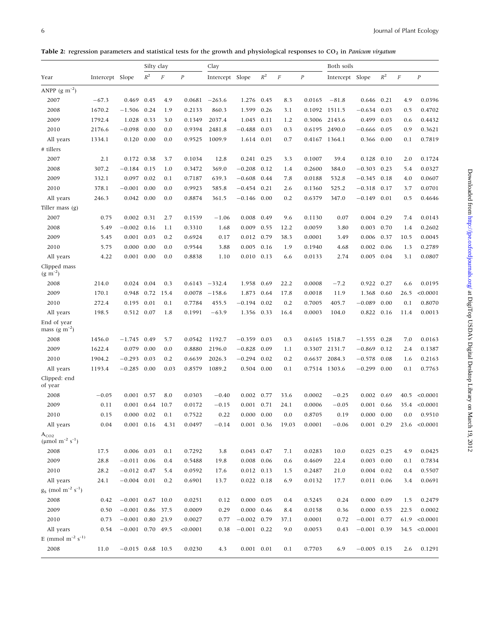<span id="page-5-0"></span>Table 2: regression parameters and statistical tests for the growth and physiological responses to  $CO_2$  in Panicum virgatum

|                                                            |                 |                    | Silty clay |          |          | Clay            |                    |       |          |          | Both soils      |                    |       |          |                  |
|------------------------------------------------------------|-----------------|--------------------|------------|----------|----------|-----------------|--------------------|-------|----------|----------|-----------------|--------------------|-------|----------|------------------|
| Year                                                       | Intercept Slope |                    | $R^2$      | $\cal F$ | $\cal P$ | Intercept Slope |                    | $R^2$ | $\cal F$ | $\cal P$ | Intercept Slope |                    | $R^2$ | $\cal F$ | $\boldsymbol{P}$ |
| ANPP $(g m^{-2})$                                          |                 |                    |            |          |          |                 |                    |       |          |          |                 |                    |       |          |                  |
| 2007                                                       | $-67.3$         | 0.469              | 0.45       | 4.9      | 0.0681   | $-263.6$        | 1.276 0.45         |       | 8.3      | 0.0165   | $-81.8$         | $0.646$ 0.21       |       | 4.9      | 0.0396           |
| 2008                                                       | 1670.2          | $-1.506$           | 0.24       | 1.9      | 0.2133   | 860.3           | 1.599              | 0.26  | 3.1      | 0.1092   | 1511.5          | $-0.634$           | 0.03  | 0.5      | 0.4702           |
| 2009                                                       | 1792.4          | 1.028              | 0.33       | 3.0      | 0.1349   | 2037.4          | 1.045              | 0.11  | 1.2      | 0.3006   | 2143.6          | 0.499              | 0.03  | 0.6      | 0.4432           |
| 2010                                                       | 2176.6          | $-0.098$           | 0.00       | 0.0      | 0.9394   | 2481.8          | $-0.488$           | 0.03  | 0.3      | 0.6195   | 2490.0          | $-0.666$           | 0.05  | 0.9      | 0.3621           |
| All years                                                  | 1334.1          | 0.120              | 0.00       | 0.0      | 0.9525   | 1009.9          | 1.614              | 0.01  | 0.7      | 0.4167   | 1364.1          | 0.366              | 0.00  | 0.1      | 0.7819           |
| # tillers                                                  |                 |                    |            |          |          |                 |                    |       |          |          |                 |                    |       |          |                  |
| 2007                                                       | 2.1             | 0.172 0.38         |            | 3.7      | 0.1034   | 12.8            | 0.241              | 0.25  | 3.3      | 0.1007   | 39.4            | 0.128              | 0.10  | 2.0      | 0.1724           |
| 2008                                                       | 307.2           | $-0.184$ 0.15      |            | 1.0      | 0.3472   | 369.0           | $-0.208$           | 0.12  | 1.4      | 0.2600   | 384.0           | $-0.303$ 0.23      |       | 5.4      | 0.0327           |
| 2009                                                       | 332.1           | 0.097              | 0.02       | 0.1      | 0.7187   | 639.3           | $-0.608$           | 0.44  | 7.8      | 0.0188   | 532.8           | $-0.345$ 0.18      |       | 4.0      | 0.0607           |
| 2010                                                       | 378.1           | $-0.001$           | 0.00       | 0.0      | 0.9923   | 585.8           | $-0.454$           | 0.21  | 2.6      | 0.1360   | 525.2           | $-0.318$           | 0.17  | 3.7      | 0.0701           |
| All years                                                  | 246.3           | $0.042$ 0.00       |            | 0.0      | 0.8874   | 361.5           | $-0.146$ 0.00      |       | 0.2      | 0.6379   | 347.0           | $-0.149$ 0.01      |       | 0.5      | 0.4646           |
| Tiller mass (g)                                            |                 |                    |            |          |          |                 |                    |       |          |          |                 |                    |       |          |                  |
| 2007                                                       | 0.75            | $0.002$ $0.31$     |            | 2.7      | 0.1539   | $-1.06$         | 0.008 0.49         |       | 9.6      | 0.1130   | 0.07            | $0.004$ 0.29       |       | 7.4      | 0.0143           |
| 2008                                                       | 5.49            | $-0.002$ 0.16      |            | 1.1      | 0.3310   | 1.68            | 0.009              | 0.55  | 12.2     | 0.0059   | 3.80            | $0.003$ 0.70       |       | 1.4      | 0.2602           |
| 2009                                                       | 5.45            | 0.001              | 0.03       | 0.2      | 0.6924   | 0.17            | 0.012 0.79         |       | 38.3     | 0.0001   | 3.49            | 0.006 0.37         |       | 10.5     | 0.0045           |
| 2010                                                       | 5.75            | 0.000              | 0.00       | 0.0      | 0.9544   | 3.88            | 0.005              | 0.16  | 1.9      | 0.1940   | 4.68            | 0.002              | 0.06  | 1.3      | 0.2789           |
| All years                                                  | 4.22            | 0.001              | 0.00       | 0.0      | 0.8838   | 1.10            | 0.010              | 0.13  | 6.6      | 0.0133   | 2.74            | $0.005$ 0.04       |       | 3.1      | 0.0807           |
| Clipped mass<br>$(g \, \text{m}^{-2})$                     |                 |                    |            |          |          |                 |                    |       |          |          |                 |                    |       |          |                  |
| 2008                                                       | 214.0           | 0.024 0.04         |            | 0.3      | 0.6143   | $-332.4$        | 1.958 0.69         |       | 22.2     | 0.0008   | $-7.2$          | 0.922 0.27         |       | 6.6      | 0.0195           |
| 2009                                                       | 170.1           | 0.948              | 0.72       | 15.4     | 0.0078   | $-158.6$        | 1.873              | 0.64  | 17.8     | 0.0018   | 11.9            | 1.368              | 0.60  | 26.5     | < 0.0001         |
| 2010                                                       | 272.4           | 0.195              | 0.01       | 0.1      | 0.7784   | 455.5           | $-0.194$           | 0.02  | 0.2      | 0.7005   | 405.7           | $-0.089$           | 0.00  | 0.1      | 0.8070           |
| All years                                                  | 198.5           | 0.512 0.07         |            | 1.8      | 0.1991   | $-63.9$         | 1.356              | 0.33  | 16.4     | 0.0003   | 104.0           | 0.822              | 0.16  | 11.4     | 0.0013           |
| End of year<br>mass (g $m^{-2}$ )                          |                 |                    |            |          |          |                 |                    |       |          |          |                 |                    |       |          |                  |
| 2008                                                       | 1456.0          | $-1.745$ 0.49      |            | 5.7      | 0.0542   | 1192.7          | $-0.359$           | 0.03  | 0.3      |          | 0.6165 1518.7   | $-1.555$ 0.28      |       | 7.0      | 0.0163           |
| 2009                                                       | 1622.4          | 0.079              | 0.00       | 0.0      | 0.8880   | 2196.0          | $-0.828$           | 0.09  | 1.1      | 0.3307   | 2131.7          | $-0.869$           | 0.12  | 2.4      | 0.1387           |
| 2010                                                       | 1904.2          | $-0.293$           | 0.03       | 0.2      | 0.6639   | 2026.3          | $-0.294$           | 0.02  | 0.2      | 0.6637   | 2084.3          | $-0.578$           | 0.08  | 1.6      | 0.2163           |
| All years                                                  | 1193.4          | $-0.285$           | 0.00       | 0.03     | 0.8579   | 1089.2          | 0.504 0.00         |       | 0.1      |          | 0.7514 1303.6   | $-0.299$           | 0.00  | 0.1      | 0.7763           |
| Clipped: end<br>of year                                    |                 |                    |            |          |          |                 |                    |       |          |          |                 |                    |       |          |                  |
| 2008                                                       | $-0.05$         | 0.001              | 0.57       | 8.0      | 0.0303   | $-0.40$         | 0.002              | 0.77  | 33.6     | 0.0002   | $-0.25$         | 0.002              | 0.69  | 40.5     | < 0.0001         |
| 2009                                                       | 0.11            | 0.001 0.64         |            | 10.7     | 0.0172   | $-0.15$         | $0.001$ $0.71$     |       | 24.1     | 0.0006   | $-0.05$         | 0.001 0.66         |       |          | 35.4 < 0.0001    |
| 2010                                                       | 0.15            | $0.000 \quad 0.02$ |            | 0.1      | 0.7522   | 0.22            | $0.000 \quad 0.00$ |       | 0.0      | 0.8705   | 0.19            | $0.000 \quad 0.00$ |       | 0.0      | 0.9510           |
| All years                                                  | 0.04            | $0.001$ $0.16$     |            | 4.31     | 0.0497   | $-0.14$         | $0.001$ 0.36       |       | 19.03    | 0.0001   | $-0.06$         | $0.001$ 0.29       |       | 23.6     | < 0.0001         |
| $A_{CO2}$<br>( $\mu$ mol m <sup>-2</sup> s <sup>-1</sup> ) |                 |                    |            |          |          |                 |                    |       |          |          |                 |                    |       |          |                  |
| 2008                                                       | 17.5            | 0.006 0.03         |            | 0.1      | 0.7292   | 3.8             | 0.043 0.47         |       | 7.1      | 0.0283   | 10.0            | $0.025$ 0.25       |       | 4.9      | 0.0425           |
| 2009                                                       | 28.8            | $-0.011$ 0.06      |            | 0.4      | 0.5488   | 19.8            | $0.008$ 0.06       |       | 0.6      | 0.4609   | 22.4            | $0.003$ 0.00       |       | 0.1      | 0.7834           |
| 2010                                                       | 28.2            | $-0.012$ 0.47      |            | 5.4      | 0.0592   | 17.6            | $0.012$ 0.13       |       | 1.5      | 0.2487   | 21.0            | $0.004$ 0.02       |       | 0.4      | 0.5507           |
| All years                                                  | 24.1            | $-0.004$ 0.01      |            | 0.2      | 0.6901   | 13.7            | $0.022$ $0.18$     |       | 6.9      | 0.0132   | 17.7            | 0.011 0.06         |       | 3.4      | 0.0691           |
| $g_S \pmod{m^{-2} s^{-1}}$                                 |                 |                    |            |          |          |                 |                    |       |          |          |                 |                    |       |          |                  |
| 2008                                                       | 0.42            | $-0.001$ 0.67 10.0 |            |          | 0.0251   | 0.12            | $0.000 \quad 0.05$ |       | 0.4      | 0.5245   | 0.24            | $0.000 \quad 0.09$ |       | 1.5      | 0.2479           |
| 2009                                                       | 0.50            | $-0.001$ 0.86 37.5 |            |          | 0.0009   | 0.29            | $0.000 \quad 0.46$ |       | 8.4      | 0.0158   | 0.36            | $0.000 \quad 0.55$ |       | 22.5     | 0.0002           |
| 2010                                                       | 0.73            | $-0.001$           | 0.80 23.9  |          | 0.0027   | 0.77            | $-0.002$ 0.79      |       | 37.1     | 0.0001   | 0.72            | $-0.001$ 0.77      |       | 61.9     | < 0.0001         |
| All years                                                  | 0.54            | $-0.001$ 0.70 49.5 |            |          | < 0.0001 | 0.38            | $-0.001$ 0.22      |       | 9.0      | 0.0053   | 0.43            | $-0.001$ 0.39      |       | 34.5     | < 0.0001         |
| E (mmol m <sup>-2</sup> s <sup>-1)</sup>                   |                 |                    |            |          |          |                 |                    |       |          |          |                 |                    |       |          |                  |
| 2008                                                       | 11.0            | $-0.015$ 0.68 10.5 |            |          | 0.0230   | 4.3             | $0.001$ $0.01$     |       | 0.1      | 0.7703   | 6.9             | $-0.005$ 0.15      |       | 2.6      | 0.1291           |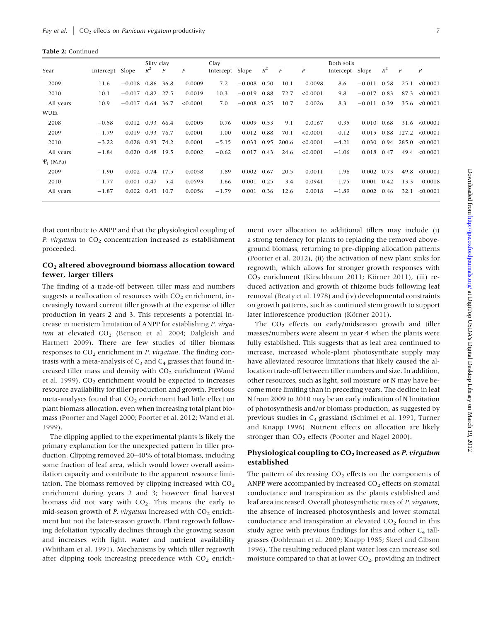Table 2: Continued

| Year           | Intercept Slope |                 | Silty clay<br>$R^2$ | $\boldsymbol{F}$ | $\overline{P}$ | Clay<br>Intercept Slope |               | $R^2$ | $\boldsymbol{F}$ | $\overline{P}$ | Both soils<br>Intercept Slope |              | $R^2$ | $\boldsymbol{F}$ | $\overline{P}$     |
|----------------|-----------------|-----------------|---------------------|------------------|----------------|-------------------------|---------------|-------|------------------|----------------|-------------------------------|--------------|-------|------------------|--------------------|
| 2009           | 11.6            | $-0.018$ 0.86   |                     | 36.8             | 0.0009         | 7.2                     | $-0.008$      | 0.50  | 10.1             | 0.0098         | 8.6                           | $-0.011$     | 0.58  | 25.1             | < 0.0001           |
| 2010           | 10.1            | $-0.017$        | 0.82                | 27.5             | 0.0019         | 10.3                    | $-0.019$      | 0.88  | 72.7             | < 0.0001       | 9.8                           | $-0.017$     | 0.83  | 87.3             | < 0.0001           |
| All years      | 10.9            | $-0.017$        |                     | 0.64 36.7        | < 0.0001       | 7.0                     | $-0.008$ 0.25 |       | 10.7             | 0.0026         | 8.3                           | $-0.011$     | 0.39  |                  | $35.6 \le 0.0001$  |
| WUEt           |                 |                 |                     |                  |                |                         |               |       |                  |                |                               |              |       |                  |                    |
| 2008           | $-0.58$         | $0.012$ 0.93    |                     | 66.4             | 0.0005         | 0.76                    | 0.009         | 0.53  | 9.1              | 0.0167         | 0.35                          | 0.010        | 0.68  |                  | $31.6 \le 0.0001$  |
| 2009           | $-1.79$         | 0.019 0.93      |                     | 76.7             | 0.0001         | 1.00                    | 0.012         | 0.88  | 70.1             | < 0.0001       | $-0.12$                       | 0.015        | 0.88  |                  | $127.2 \le 0.0001$ |
| 2010           | $-3.22$         | $0.028$ 0.93    |                     | 74.2             | 0.0001         | $-5.15$                 | 0.033         | 0.95  | 200.6            | < 0.0001       | $-4.21$                       | 0.030        | 0.94  |                  | $285.0 \le 0.0001$ |
| All years      | $-1.84$         | 0.020 0.48 19.5 |                     |                  | 0.0002         | $-0.62$                 | 0.017         | 0.43  | 24.6             | < 0.0001       | $-1.06$                       | 0.018 0.47   |       |                  | $49.4 \le 0.0001$  |
| $\Psi_1$ (MPa) |                 |                 |                     |                  |                |                         |               |       |                  |                |                               |              |       |                  |                    |
| 2009           | $-1.90$         | 0.002 0.74 17.5 |                     |                  | 0.0058         | $-1.89$                 | 0.002         | 0.67  | 20.5             | 0.0011         | $-1.96$                       | $0.002$ 0.73 |       | 49.8             | < 0.0001           |
| 2010           | $-1.77$         | 0.001 0.47      |                     | 5.4              | 0.0593         | $-1.66$                 | 0.001         | 0.25  | 3.4              | 0.0941         | $-1.75$                       | 0.001        | 0.42  | 13.3             | 0.0018             |
| All years      | $-1.87$         | 0.002           | 0.43                | 10.7             | 0.0056         | $-1.79$                 | 0.001         | 0.36  | 12.6             | 0.0018         | $-1.89$                       | 0.002        | 0.46  | 32.1             | < 0.0001           |

that contribute to ANPP and that the physiological coupling of P. virgatum to  $CO<sub>2</sub>$  concentration increased as establishment proceeded.

#### CO2 altered aboveground biomass allocation toward fewer, larger tillers

The finding of a trade-off between tiller mass and numbers suggests a reallocation of resources with  $CO<sub>2</sub>$  enrichment, increasingly toward current tiller growth at the expense of tiller production in years 2 and 3. This represents a potential increase in meristem limitation of ANPP for establishing P. virgatum at elevated  $CO<sub>2</sub>$  ([Benson et al. 2004](#page-8-0); [Dalgleish and](#page-8-0) [Hartnett 2009](#page-8-0)). There are few studies of tiller biomass responses to  $CO<sub>2</sub>$  enrichment in P. virgatum. The finding contrasts with a meta-analysis of  $C_3$  and  $C_4$  grasses that found increased tiller mass and density with  $CO<sub>2</sub>$  enrichment ([Wand](#page-9-0) [et al. 1999](#page-9-0)).  $CO<sub>2</sub>$  enrichment would be expected to increases resource availability for tiller production and growth. Previous meta-analyses found that  $CO<sub>2</sub>$  enrichment had little effect on plant biomass allocation, even when increasing total plant biomass ([Poorter and Nagel 2000;](#page-9-0) [Poorter et al. 2012;](#page-9-0) [Wand et al.](#page-9-0) [1999\)](#page-9-0).

The clipping applied to the experimental plants is likely the primary explanation for the unexpected pattern in tiller production. Clipping removed 20–40% of total biomass, including some fraction of leaf area, which would lower overall assimilation capacity and contribute to the apparent resource limitation. The biomass removed by clipping increased with  $CO<sub>2</sub>$ enrichment during years 2 and 3; however final harvest biomass did not vary with  $CO<sub>2</sub>$ . This means the early to mid-season growth of *P. virgatum* increased with  $CO<sub>2</sub>$  enrichment but not the later-season growth. Plant regrowth following defoliation typically declines through the growing season and increases with light, water and nutrient availability [\(Whitham et al. 1991\)](#page-9-0). Mechanisms by which tiller regrowth after clipping took increasing precedence with  $CO<sub>2</sub>$  enrichment over allocation to additional tillers may include (i) a strong tendency for plants to replacing the removed aboveground biomass, returning to pre-clipping allocation patterns [\(Poorter et al. 2012](#page-9-0)), (ii) the activation of new plant sinks for regrowth, which allows for stronger growth responses with CO<sub>2</sub> enrichment [\(Kirschbaum 2011](#page-8-0); Körner 2011), (iii) reduced activation and growth of rhizome buds following leaf removal ([Beaty et al. 1978\)](#page-8-0) and (iv) developmental constraints on growth patterns, such as continued stem growth to support later inflorescence production (Körner 2011).

The  $CO<sub>2</sub>$  effects on early/midseason growth and tiller masses/numbers were absent in year 4 when the plants were fully established. This suggests that as leaf area continued to increase, increased whole-plant photosynthate supply may have alleviated resource limitations that likely caused the allocation trade-off between tiller numbers and size. In addition, other resources, such as light, soil moisture or N may have become more limiting than in preceding years. The decline in leaf N from 2009 to 2010 may be an early indication of N limitation of photosynthesis and/or biomass production, as suggested by previous studies in C4 grassland [\(Schimel et al. 1991](#page-9-0); [Turner](#page-9-0) [and Knapp 1996\)](#page-9-0). Nutrient effects on allocation are likely stronger than  $CO<sub>2</sub>$  effects [\(Poorter and Nagel 2000](#page-9-0)).

#### Physiological coupling to  $CO<sub>2</sub>$  increased as P. virgatum established

The pattern of decreasing  $CO<sub>2</sub>$  effects on the components of ANPP were accompanied by increased  $CO<sub>2</sub>$  effects on stomatal conductance and transpiration as the plants established and leaf area increased. Overall photosynthetic rates of P. virgatum, the absence of increased photosynthesis and lower stomatal conductance and transpiration at elevated  $CO<sub>2</sub>$  found in this study agree with previous findings for this and other  $C_4$  tallgrasses ([Dohleman et al. 2009](#page-8-0); [Knapp 1985](#page-8-0); [Skeel and Gibson](#page-9-0) [1996\)](#page-9-0). The resulting reduced plant water loss can increase soil moisture compared to that at lower  $CO<sub>2</sub>$ , providing an indirect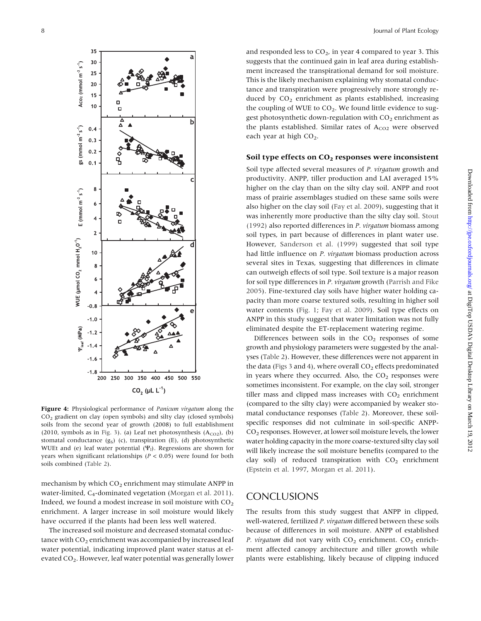<span id="page-7-0"></span>

Figure 4: Physiological performance of *Panicum virgatum* along the  $CO<sub>2</sub>$  gradient on clay (open symbols) and silty clay (closed symbols) soils from the second year of growth (2008) to full establishment (2010, symbols as in [Fig. 3](#page-4-0)). (a) Leaf net photosynthesis  $(A_{CO2})$ , (b) stomatal conductance  $(g_S)$  (c), transpiration (E), (d) photosynthetic WUEt and (e) leaf water potential  $(\Psi_1)$ . Regressions are shown for years when significant relationships ( $P < 0.05$ ) were found for both soils combined [\(Table 2](#page-5-0)).

mechanism by which  $CO<sub>2</sub>$  enrichment may stimulate ANPP in water-limited, C4-dominated vegetation ([Morgan et al. 2011\)](#page-8-0). Indeed, we found a modest increase in soil moisture with  $CO<sub>2</sub>$ enrichment. A larger increase in soil moisture would likely have occurred if the plants had been less well watered.

The increased soil moisture and decreased stomatal conductance with  $CO<sub>2</sub>$  enrichment was accompanied by increased leaf water potential, indicating improved plant water status at elevated CO<sub>2</sub>. However, leaf water potential was generally lower and responded less to  $CO<sub>2</sub>$ , in year 4 compared to year 3. This suggests that the continued gain in leaf area during establishment increased the transpirational demand for soil moisture. This is the likely mechanism explaining why stomatal conductance and transpiration were progressively more strongly reduced by  $CO<sub>2</sub>$  enrichment as plants established, increasing the coupling of WUE to  $CO<sub>2</sub>$ . We found little evidence to suggest photosynthetic down-regulation with  $CO<sub>2</sub>$  enrichment as the plants established. Similar rates of  $A_{CO2}$  were observed each year at high  $CO<sub>2</sub>$ .

#### Soil type effects on CO<sub>2</sub> responses were inconsistent

Soil type affected several measures of *P. virgatum* growth and productivity. ANPP, tiller production and LAI averaged 15% higher on the clay than on the silty clay soil. ANPP and root mass of prairie assemblages studied on these same soils were also higher on the clay soil ([Fay et al. 2009\)](#page-8-0), suggesting that it was inherently more productive than the silty clay soil. [Stout](#page-9-0) [\(1992\)](#page-9-0) also reported differences in P. virgatum biomass among soil types, in part because of differences in plant water use. However, [Sanderson et al. \(1999\)](#page-9-0) suggested that soil type had little influence on P. virgatum biomass production across several sites in Texas, suggesting that differences in climate can outweigh effects of soil type. Soil texture is a major reason for soil type differences in P. virgatum growth ([Parrish and Fike](#page-8-0) [2005](#page-8-0)). Fine-textured clay soils have higher water holding capacity than more coarse textured soils, resulting in higher soil water contents [\(Fig. 1](#page-3-0); [Fay et al. 2009\)](#page-8-0). Soil type effects on ANPP in this study suggest that water limitation was not fully eliminated despite the ET-replacement watering regime.

Differences between soils in the  $CO<sub>2</sub>$  responses of some growth and physiology parameters were suggested by the analyses ([Table 2\)](#page-5-0). However, these differences were not apparent in the data [\(Figs 3](#page-4-0) and 4), where overall  $CO<sub>2</sub>$  effects predominated in years where they occurred. Also, the  $CO<sub>2</sub>$  responses were sometimes inconsistent. For example, on the clay soil, stronger tiller mass and clipped mass increases with  $CO<sub>2</sub>$  enrichment (compared to the silty clay) were accompanied by weaker stomatal conductance responses ([Table 2\)](#page-5-0). Moreover, these soilspecific responses did not culminate in soil-specific ANPP-CO2 responses. However, at lower soil moisture levels, the lower water holding capacity in the more coarse-textured silty clay soil will likely increase the soil moisture benefits (compared to the clay soil) of reduced transpiration with  $CO<sub>2</sub>$  enrichment ([Epstein et al. 1997,](#page-8-0) [Morgan et al. 2011\)](#page-8-0).

# **CONCLUSIONS**

The results from this study suggest that ANPP in clipped, well-watered, fertilized P. virgatum differed between these soils because of differences in soil moisture. ANPP of established P. virgatum did not vary with  $CO<sub>2</sub>$  enrichment.  $CO<sub>2</sub>$  enrichment affected canopy architecture and tiller growth while plants were establishing, likely because of clipping induced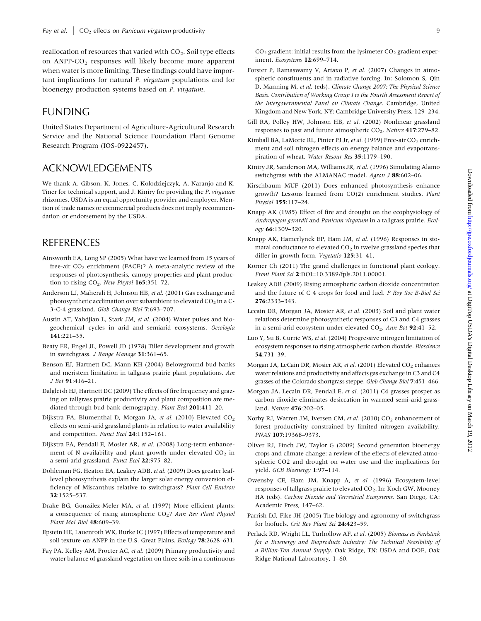<span id="page-8-0"></span>reallocation of resources that varied with  $CO<sub>2</sub>$ . Soil type effects on  $ANPP-CO<sub>2</sub>$  responses will likely become more apparent when water is more limiting. These findings could have important implications for natural P. virgatum populations and for bioenergy production systems based on P. virgatum.

# FUNDING

United States Department of Agriculture-Agricultural Research Service and the National Science Foundation Plant Genome Research Program (IOS-0922457).

## ACKNOWLEDGEMENTS

We thank A. Gibson, K. Jones, C. Kolodziejczyk, A. Naranjo and K. Tiner for technical support, and J. Kiniry for providing the P. virgatum rhizomes. USDA is an equal opportunity provider and employer. Mention of trade names or commercial products does not imply recommendation or endorsement by the USDA.

## REFERENCES

- Ainsworth EA, Long SP (2005) What have we learned from 15 years of free-air  $CO<sub>2</sub>$  enrichment (FACE)? A meta-analytic review of the responses of photosynthesis, canopy properties and plant production to rising  $CO<sub>2</sub>$ . New Phytol 165:351-72.
- Anderson LJ, Maherali H, Johnson HB, et al. (2001) Gas exchange and photosynthetic acclimation over subambient to elevated  $CO<sub>2</sub>$  in a C-3-C-4 grassland. Glob Change Biol 7:693–707.
- Austin AT, Yahdjian L, Stark JM, et al. (2004) Water pulses and biogeochemical cycles in arid and semiarid ecosystems. Oecologia 141:221–35.
- Beaty ER, Engel JL, Powell JD (1978) Tiller development and growth in switchgrass. J Range Manage 31:361–65.
- Benson EJ, Hartnett DC, Mann KH (2004) Belowground bud banks and meristem limitation in tallgrass prairie plant populations. Am J Bot 91:416–21.
- Dalgleish HJ, Hartnett DC (2009) The effects of fire frequency and grazing on tallgrass prairie productivity and plant composition are mediated through bud bank demography. Plant Ecol 201:411-20.
- Dijkstra FA, Blumenthal D, Morgan JA, et al. (2010) Elevated CO<sub>2</sub> effects on semi-arid grassland plants in relation to water availability and competition. Funct Ecol 24:1152-161.
- Dijkstra FA, Pendall E, Mosier AR, et al. (2008) Long-term enhancement of N availability and plant growth under elevated  $CO<sub>2</sub>$  in a semi-arid grassland. Funct Ecol 22:975–82.
- Dohleman FG, Heaton EA, Leakey ADB, et al. (2009) Does greater leaflevel photosynthesis explain the larger solar energy conversion efficiency of Miscanthus relative to switchgrass? Plant Cell Environ 32:1525–537.
- Drake BG, González-Meler MA, et al. (1997) More efficient plants: a consequence of rising atmospheric  $CO<sub>2</sub>$ ? Ann Rev Plant Physiol Plant Mol Biol 48:609–39.
- Epstein HE, Lauenroth WK, Burke IC (1997) Effects of temperature and soil texture on ANPP in the U.S. Great Plains. Ecology 78:2628-631.
- Fay PA, Kelley AM, Procter AC, et al. (2009) Primary productivity and water balance of grassland vegetation on three soils in a continuous

 $CO<sub>2</sub>$  gradient: initial results from the lysimeter  $CO<sub>2</sub>$  gradient experiment. Ecosystems 12:699–714.

- Forster P, Ramaswamy V, Artaxo P, et al. (2007) Changes in atmospheric constituents and in radiative forcing. In: Solomon S, Qin D, Manning M, et al. (eds). Climate Change 2007: The Physical Science Basis. Contribution of Working Group I to the Fourth Assessment Report of the Intergovernmental Panel on Climate Change. Cambridge, United Kingdom and New York, NY: Cambridge University Press, 129–234.
- Gill RA, Polley HW, Johnson HB, et al. (2002) Nonlinear grassland responses to past and future atmospheric  $CO<sub>2</sub>$ . Nature 417:279–82.
- Kimball BA, LaMorte RL, Pinter PJ Jr, et al. (1999) Free-air CO<sub>2</sub> enrichment and soil nitrogen effects on energy balance and evapotranspiration of wheat. Water Resour Res 35:1179–190.
- Kiniry JR, Sanderson MA, Williams JR, et al. (1996) Simulating Alamo switchgrass with the ALMANAC model. Agron J 88:602-06.
- Kirschbaum MUF (2011) Does enhanced photosynthesis enhance growth? Lessons learned from CO(2) enrichment studies. Plant Physiol 155:117–24.
- Knapp AK (1985) Effect of fire and drought on the ecophysiology of Andropogon gerardii and Panicum virgatum in a tallgrass prairie. Ecology 66:1309–320.
- Knapp AK, Hamerlynck EP, Ham JM, et al. (1996) Responses in stomatal conductance to elevated  $CO<sub>2</sub>$  in twelve grassland species that differ in growth form. Vegetatio 125:31-41.
- Körner Ch (2011) The grand challenges in functional plant ecology. Front Plant Sci 2:DOI=10.3389/fpls.2011.00001.
- Leakey ADB (2009) Rising atmospheric carbon dioxide concentration and the future of C 4 crops for food and fuel. P Roy Soc B-Biol Sci 276:2333–343.
- Lecain DR, Morgan JA, Mosier AR, et al. (2003) Soil and plant water relations determine photosynthetic responses of C3 and C4 grasses in a semi-arid ecosystem under elevated  $CO<sub>2</sub>$ . Ann Bot 92:41-52.
- Luo Y, Su B, Currie WS, et al. (2004) Progressive nitrogen limitation of ecosystem responses to rising atmospheric carbon dioxide. Bioscience 54:731–39.
- Morgan JA, LeCain DR, Mosier AR, et al. (2001) Elevated CO<sub>2</sub> enhances water relations and productivity and affects gas exchange in C3 and C4 grasses of the Colorado shortgrass steppe. Glob Change Biol 7:451–466.
- Morgan JA, Lecain DR, Pendall E, et al. (2011) C4 grasses prosper as carbon dioxide eliminates desiccation in warmed semi-arid grassland. Nature 476:202–05.
- Norby RJ, Warren JM, Iversen CM, et al. (2010) CO<sub>2</sub> enhancement of forest productivity constrained by limited nitrogen availability. PNAS 107:19368–9373.
- Oliver RJ, Finch JW, Taylor G (2009) Second generation bioenergy crops and climate change: a review of the effects of elevated atmospheric CO2 and drought on water use and the implications for yield. GCB Bioenergy 1:97–114.
- Owensby CE, Ham JM, Knapp A, et al. (1996) Ecosystem-level responses of tallgrass prairie to elevated CO<sub>2</sub>. In: Koch GW, Mooney HA (eds). Carbon Dioxide and Terrestrial Ecosystems. San Diego, CA: Academic Press, 147–62.
- Parrish DJ, Fike JH (2005) The biology and agronomy of switchgrass for biofuels. Crit Rev Plant Sci 24:423-59.
- Perlack RD, Wright LL, Turhollow AF, et al. (2005) Biomass as Feedstock for a Bioenergy and Bioproducts Industry: The Technical Feasibility of a Billion-Ton Annual Supply. Oak Ridge, TN: USDA and DOE, Oak Ridge National Laboratory, 1–60.